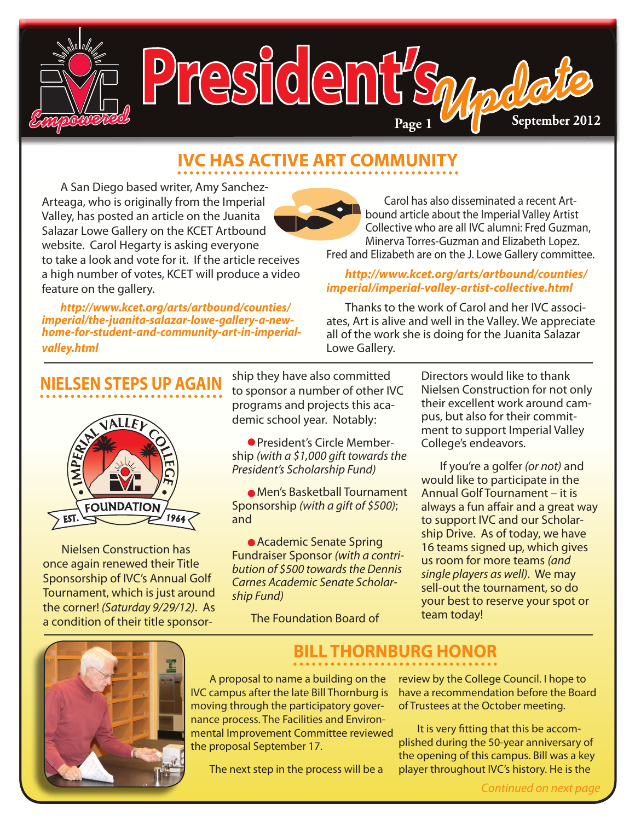

## **IVC HAS ACTIVE ART COMMUNITY**

A San Diego based writer, Amy Sanchez-Arteaga, who is originally from the Imperial Valley, has posted an article on the Juanita Salazar Lowe Gallery on the KCET Artbound website. Carol Hegarty is asking everyone to take a look and vote for it. If the article receives a high number of votes, KCET will produce a video feature on the gallery.

*[http://www.kcet.org/arts/artbound/counties/](http://www.kcet.org/arts/artbound/counties/imperial/the-juanita-salazar-lowe-gallery-a-new-home-for-student-and-community-art-in-imperial-valley.html) [imperial/the-juanita-salazar-lowe-gallery-a-new](http://www.kcet.org/arts/artbound/counties/imperial/the-juanita-salazar-lowe-gallery-a-new-home-for-student-and-community-art-in-imperial-valley.html)[home-for-student-and-community-art-in-imperial](http://www.kcet.org/arts/artbound/counties/imperial/the-juanita-salazar-lowe-gallery-a-new-home-for-student-and-community-art-in-imperial-valley.html)[valley.html](http://www.kcet.org/arts/artbound/counties/imperial/the-juanita-salazar-lowe-gallery-a-new-home-for-student-and-community-art-in-imperial-valley.html)*

Carol has also disseminated a recent Artbound article about the Imperial Valley Artist Collective who are all IVC alumni: Fred Guzman, Minerva Torres-Guzman and Elizabeth Lopez. Fred and Elizabeth are on the J. Lowe Gallery committee.

#### *[http://www.kcet.org/arts/artbound/counties/](http://www.kcet.org/arts/artbound/counties/imperial/imperial-valley-artist-collective.html) [imperial/imperial-valley-artist-collective.html](http://www.kcet.org/arts/artbound/counties/imperial/imperial-valley-artist-collective.html)*

Thanks to the work of Carol and her IVC associates, Art is alive and well in the Valley. We appreciate all of the work she is doing for the Juanita Salazar Lowe Gallery.

### **NIELSEN STEPS UP AGAIN**



Nielsen Construction has once again renewed their Title Sponsorship of IVC's Annual Golf Tournament, which is just around the corner! *(Saturday 9/29/12)*. As a condition of their title sponsorship they have also committed to sponsor a number of other IVC programs and projects this academic school year. Notably:

• President's Circle Membership *(with a \$1,000 gift towards the President's Scholarship Fund)*

• Men's Basketball Tournament Sponsorship *(with a gift of \$500)*; and

• Academic Senate Spring Fundraiser Sponsor *(with a contribution of \$500 towards the Dennis Carnes Academic Senate Scholarship Fund)*

The Foundation Board of

Directors would like to thank Nielsen Construction for not only their excellent work around campus, but also for their commitment to support Imperial Valley College's endeavors.

If you're a golfer *(or not)* and would like to participate in the Annual Golf Tournament – it is always a fun affair and a great way to support IVC and our Scholarship Drive. As of today, we have 16 teams signed up, which gives us room for more teams *(and single players as well)*. We may sell-out the tournament, so do your best to reserve your spot or team today!



### **BILL THORNBURG HONOR**

A proposal to name a building on the IVC campus after the late Bill Thornburg is moving through the participatory governance process. The Facilities and Environmental Improvement Committee reviewed the proposal September 17.

The next step in the process will be a

review by the College Council. I hope to have a recommendation before the Board of Trustees at the October meeting.

It is very fitting that this be accomplished during the 50-year anniversary of the opening of this campus. Bill was a key player throughout IVC's history. He is the